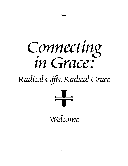

# *Radical Gifts,Radical Grace*



*Welcome*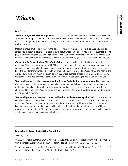## *Welcome*

Dear Friends,

"How is God poking around in your life?" It's a question I've heard around Incarnation asked again and again. How *is* God poking around in your life? Do you know? Have you been paying attention? This faith study is a chance to open up your senses—to listen, watch, and discover how God is already present in your life each and every day.

Most of us move pretty quickly through the day—too often, we're simply on auto-pilot. But if you stop to reflect, stop to listen to other people, stop to think about what brings you joy, stop to notice surprises, stop to pray or simply to be quiet, you can begin to sense how God might be moving in your own life. Does it sound unlikely or extraordinary? God's presence is definitely an extraordinary gift—it's a radical gift and radical grace!

*Connecting in Grace: Radical Gifts, Radical Grace* provides a chance to talk about some of these questions: What does God want for my life? How can I watch and listen for God's presence in ordinary days and in days that are significant marking points? How do other people reveal God's presence to me? How do I point to God for them? What do I do with my time and energy? How can I be God's hands and heart in the world? How is God with me in the tough days of challenges, sadness, or loss? How is God with me in days that seem like the best of times? These are all questions about the radical gifts, the radical grace of God.

**Your small group is a place to pay attention to how God might be moving in your life.** Sometimes it's a simple comment or a question from another group member that opens up something you hadn't realized before. Sometimes the written reflections or the questions can bring a new insight or a new discovery about your life or your faith. Your group is a chance to practice listening and watching for how God might be poking around in your life!

**Your small group is a chance to connect with others while connecting with God.** Your conversations will follow an outline of easy, informal, open-ended questions to give you a chance to gradually grow together as a group. You can share your thoughts or simply listen. By discovering things you share in common, you'll find another person on a similar journey in life and faith. Through the diversity of the group, you'll have a chance to learn from others. Whether you simply get to know a few new people or you meet lifelong friends, small groups are a chance to connect with others.

#### **Connecting in Grace: Radical Gifts, Radical Grace**

Writer: Lynda Thompson

© 2006 Incarnation Lutheran Church. All rights reserved. May not be reproduced without written permission from Incarnation Lutheran Church, 4880 Hodgson Road, Shoreview, MN 55126, 651-484-7213.

Scripture quotations are from New Revised Standard Version Bible, © 1989 Division of Christian Education of the National Council of Churches of Christ in the United States of America.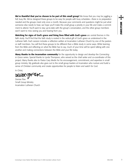**We're thankful that you've chosen to be part of this small group!** We know that you may be juggling a full, busy life. We've designed these groups to be easy for people with busy schedules—there is no preparation needed and the groups meet only once a month. Because your comments and questions might be just what someone else needs to hear, we hope you'll make this small group a priority in your life and make a commitment to attend. You'll want to stay up-to-date with the group's conversation, and the other group members won't want to miss seeing you and hearing from you.

Header and the goals have under the fillowing incarned with a material Grace Connection Connection Line and the stress of the content of the connection and the stress of the stress of the stress of the stress of the stress **Watching for signs of God's grace and living lives filled with God's grace** are central themes in this faith study. You'll find that the faith study is rooted in the radical gift of God's grace as understood in the Lutheran faith. Each session includes a reflection written at Incarnation Lutheran Church by one of the pastors or staff members. You will find these groups to be different than a Bible study in some ways. While learning from the Bible and reflecting on what the Bible has to say, much of your time will be spent talking with one another and making connections between the Bible and your life today.

**Many thanks to the Incarnation community** for the opportunity to design and develop the *Connecting in Grace* series. Special thanks to Lynda Thompson, who served as the chief writer and co-coordinator of this project. Many thanks also to Pastor Gary Medin for his encouragement, commitment, and expertise in small group ministry. My gratitude also goes out to the small group leaders at Incarnation who nurture and build a sense of Christian community and create opportunities for people to listen and watch for God.

In Christ,

Denise Floe Small Group Ministry Incarnation Lutheran Church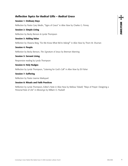#### *Reflection Topics for Radical Gifts – Radical Grace*

#### **Session 1: Ordinary Days**

Reflection by Pastor Gary Medin, "Signs of Grace" in *Alive Now* by Charles G. Finney

#### **Session 2: Simple Living**

Reflection by Becky Benson & Lynda Thompson

#### **Session 3: Adding Value**

Reflection by Shawna Berg, "Do We Know What We're Asking?" in *Alive Now* by Thom M. Shuman

#### **Session 4: People**

Reflection by Becky Benson, *The Signature of Jesus* by Brennan Manning

#### **Session 5: Servant Living**

Responsive reading by Lynda Thompson

#### **Session 6: Holy Nudges**

Reflection by Lynda Thompson, "Listening for God's Call" in *Alive Now* by Eli Fisher

#### **Session 7: Suffering**

Reflection by Pastor Jeanne Markquart

#### **Session 8: Rituals and Faith Practices**

Reflection by Lynda Thompson, Editor's Note in Alive Now by Melissa Tidwell, "Ways of Prayer: Designing a Personal Rule of Life" in *Weavings* by William O. Paulsell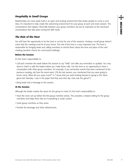### *Hospitality in Small Groups*

Relationships are most easily built in an open and trusting environment that invites people to come in and relax. It's important to help create this welcoming environment for your group at each and every session. The conversations that happen informally between your group members are just as important as the structured conversations that take place during the faith study.

#### *The Role of the Host*

You will have the opportunity to be the host or co-host for one of the sessions. Hosting a small group doesn't mean that the meeting must be at your home. The role of the host is a very important one. The host is responsible for bringing treats and calling members to remind them about the time and place of the next meeting (another chance for community building!).

#### **Before the Session**

It's the host's responsibility to:

- Call each member the week before the session to say "hello" and offer any reminders or updates. You may want to check in with the leader before you make these calls. Use this time as an opportunity to have a conversation with other group members. For example, if you remember events that were mentioned at the previous meeting, ask how the event went. ("At the last session, you mentioned that you were going to tennis camp. What did you enjoy most?" or "I know that you were looking forward to going to the Twins game last Saturday. I saw in the paper that they won that day. How was the game?")
- Bring treats and a beverage to the session.

#### **At the Session**

Although the leader creates the space for the group to meet, it's the host's responsibility to:

- Have the room set up before the first group member arrives. This provides a relaxed setting for the group members and helps them feel as if everything is under control.
- Greet group members as they arrive.
- Provide the beverage and other refreshments.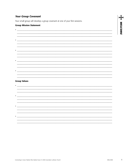#### **Your Group Covenant**

Your small group will develop a group covenant at one of your first sessions.

 $\bullet$   $\overline{\phantom{a}}$   $\overline{\phantom{a}}$   $\overline{\phantom{a}}$   $\overline{\phantom{a}}$   $\overline{\phantom{a}}$   $\overline{\phantom{a}}$   $\overline{\phantom{a}}$   $\overline{\phantom{a}}$   $\overline{\phantom{a}}$   $\overline{\phantom{a}}$   $\overline{\phantom{a}}$   $\overline{\phantom{a}}$   $\overline{\phantom{a}}$   $\overline{\phantom{a}}$   $\overline{\phantom{a}}$   $\overline{\phantom{a}}$   $\overline{\phantom{a}}$   $\overline{\phantom{a}}$ 

<u> 1989 - Johann Harry Harry Harry Harry Harry Harry Harry Harry Harry Harry Harry Harry Harry Harry Harry Harry</u>

 $\bullet$  . The contract of the contract of the contract of the contract of the contract of the contract of the contract of the contract of the contract of the contract of the contract of the contract of the contract of the co

#### **Group Mission Statement**



| <b>Group Values</b> |  |  |
|---------------------|--|--|
|---------------------|--|--|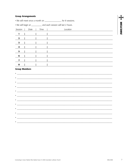#### **Group Arrangements**

• We will meet once a month on \_\_\_\_\_\_\_\_\_\_\_\_\_\_\_\_\_\_ for 8 sessions.

• We will begin at \_\_\_\_\_\_\_\_\_\_\_ and each session will last 2 hours.

| Session                 | Date | Time | Location |
|-------------------------|------|------|----------|
|                         |      |      |          |
| $\overline{\mathbf{2}}$ |      |      |          |
| $\overline{\mathbf{3}}$ |      |      |          |
| 4                       |      |      |          |
| $\overline{\mathbf{5}}$ |      |      |          |
| $6\phantom{1}6$         |      |      |          |
| $\overline{\mathbf{z}}$ |      |      |          |
| $\pmb{8}$               |      |      |          |

#### **Group Members**

| ٠                                                                                                                                                                                                                                        |  |  |
|------------------------------------------------------------------------------------------------------------------------------------------------------------------------------------------------------------------------------------------|--|--|
|                                                                                                                                                                                                                                          |  |  |
| ٠<br><u> 2000 - Jan Alexander de Carlos de Carlos de Carlos de Carlos de Carlos de Carlos de Carlos de Carlos de Carlos d</u>                                                                                                            |  |  |
|                                                                                                                                                                                                                                          |  |  |
| $\bullet$ $\overline{\phantom{a}}$                                                                                                                                                                                                       |  |  |
|                                                                                                                                                                                                                                          |  |  |
| $\bullet \underbrace{\hspace{2.5cm}}_{\hspace{2.5cm} \textbf{---}}\underbrace{\hspace{2.5cm}}_{\hspace{2.5cm} \textbf{---}}\underbrace{\hspace{2.5cm}}_{\hspace{2.5cm} \textbf{---}}$                                                    |  |  |
|                                                                                                                                                                                                                                          |  |  |
|                                                                                                                                                                                                                                          |  |  |
| $\bullet$                                                                                                                                                                                                                                |  |  |
|                                                                                                                                                                                                                                          |  |  |
| $\bullet$ . The contract of the contract of the contract of the contract of the contract of the contract of the contract of the contract of the contract of the contract of the contract of the contract of the contract of the co       |  |  |
|                                                                                                                                                                                                                                          |  |  |
| $\bullet$ <u>- and a set of the set of the set of the set of the set of the set of the set of the set of the set of the set of the set of the set of the set of the set of the set of the set of the set of the set of the set of th</u> |  |  |
|                                                                                                                                                                                                                                          |  |  |
|                                                                                                                                                                                                                                          |  |  |
| $\bullet$ and the set of $\bullet$                                                                                                                                                                                                       |  |  |
|                                                                                                                                                                                                                                          |  |  |
| ٠                                                                                                                                                                                                                                        |  |  |

 $\begin{array}{c}\n\frac{1}{2}\n\end{array} \n\underline{\begin{array}{c}\n\text{WECOME}\n\end{array}}$ 

 $\overline{\phantom{a}}$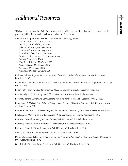# *Additional Resources*

This is a comprehensive list of all of the resources listed within each session, plus some additional ones that you may find helpful as you learn about spreading the Good News.

*Alive Now,* The Upper Room, Nashville, TN, www.upperroom.org/alivenow: "The Abundant Life," May/June 2002 "Amazing Grace," July/August 1998 "Friendship," January/February 1999 "God's Call," January/February 2003 "Household of God," May/June 2003 "Justice and Righteousness," July/August 2004 "Mentors," May/June 2000 "Our Shared Dream," May/June 2005 "Signs of Grace," March/April 2005 "Suffering," March/April 2006 "Visions and Voices," May/June 2004

Bachman, John W. *Together in Hope: 50 Years of Lutheran World Relief.* Minneapolis, MN: Kirk House Publishers, 1995.

Barndt, Joseph. *Dismantling Racism: The Continuing Challenge to White America.* Minneapolis, MN: Augsburg Fortress, 1991.

Barton, Ruth Haley. *Invitation to Solitude and Silence.* Downers Grove, IL: InterVarsity Press, 2004.

Bass, Dorothy C., Ed. *Practicing Our Faith.* San Francisco, CA: Jossey-Bass Publishers, 1997.

Beckmen, Richard J. *Beginning Conversations with God.* Minneapolis, MN: Augsburg Fortress, 1995.

Bennethum, D. Michael. *Listen! God is Calling! Luther Speaks of Vocation, Faith and Work.* Minneapolis, MN: Augsburg Fortress, 2003.

Benson, Robert. *Between the Dreaming and the Coming True.* New York, NY: Jeremy P. Tarcher/Putnam, 1997.

Brooke, Avery. *Plain Prayers in a Complicated World.* Cambridge, MA: Cowley Publications, 1993.

Buechner, Frederick. *Listening to Your Life.* New York, NY: HarperCollins Publishers, 1992.

Buechner, Frederick. *Peculiar Treasures.* San Francisco, CA: HarperSanFrancisco, 1993.

Buechner, Frederick. *Telling Secrets.* New York, NY: HarperCollins Publishers, 1991.

Cooper, Rodney, L. *We Stand Together.* Chicago, IL: Moody Press, 1995.

DeGrote-Sorensen, Barbara. *Tis a Gift to be Simple: Embracing the Freedom of Living with Less.* Minneapolis, MN: Augsburg Fortress, 1992.

Dillard, Annie. *Pilgrim at Tinker Creek.* New York, NY: HarperCollins Publishers, 1974.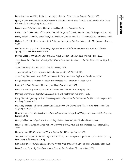Dominiguez, Joe and Vicki Robin. *Your Money or Your Life.* New York, NY: Penguin Group, 2000.

Eppley, Harold Webb and Melander, Rochelle Yolanda, Ed. *Starting Small Groups—and Keeping Them Going.* Minneapolis, MN: Augsburg Fortress, 1995.

Feiler, Bruce. *Walking the Bible.* New York, NY: HarperCollins Publishers, 2001.

Foster, Richard. *Celebration of Discipline: The Path to Spiritual Growth.* San Francisco, CA: Harper & Row, 1978.

Foster, Richard J. & Smith, James Bryan, Ed. *Devotional Classics.* New York, NY: HarperCollins Publishers, 2005.

Hafften, Ann E., Ed. *Water from the Rock: Lutheran Voices from Palestine.* Minneapolis, MN: Augsburg Fortress, 2003.

Henderson, Jim. *a.k.a. Lost: Discovering Ways to Connect with the People Jesus Misses Most.* Colorado Springs, CO: WaterBrook Press, 2005.

Imathiu, Grace. *Words of Fire, Spirit of Grace.* Porjus, Sweden and Milwaukee, WI: True North, 2003.

Jones, Laurie Beth. *The Path: Creating Your Mission Statement for Work and for Life.* New York, NY: Hyperion, 1998.

Jones, Tony. *Pray.* Colorado Springs, CO: NAVPRESS, 2003.

Jones, Tony. *Read, Think, Pray, Live.* Colorado Springs, CO: NAVPRESS, 2003.

Jones, Tony. *The Sacred Way: Spiritual Practices for Daily Life.* Grand Rapids, MI: Zondervan, 2004.

L'Engle, Madeline. *The Irrational Season.* San Francisco, CA: HarperSanFrancisco, 1984.

Lewis, C.S. *A Grief Observed.* New York, NY: HarperSanFrancisco, 1961.

Lewis, C.S. *The Lion, the Witch and the Wardrobe.* New York, NY: HarperTrophy, 1950.

Manning, Brennan. *The Signature of Jesus.* Sisters, OR: Multnomah Publishers, 1996.

Marty, Martin E. *Speaking of Trust: Conversing with Luther about the Sermon on the Mount.* Minneapolis, MN: Augsburg Fortress, 2003.

Melander, Rochelle and Harold Eppley. *Our Lives Are Not Our Own: Saying "Yes" to God.* Minneapolis, MN: Augsburg Fortress, 2003.

Nessan, Craig L. *Give Us This Day: A Lutheran Proposal for Ending World Hunger.* Minneapolis, MN: Augsburg Fortress, 2003.

Norris, Kathleen. *Amazing Grace, A Vocabulary of Faith.* Riverhead, NY: Riverhead Books, 1998.

Nouwen, Henri. *Making All Things New: An Invitation to the Spiritual Life.* San Francisco, CA: HarperCollins, 1981.

Nouwen, Henri J.M. *The Wounded Healer.* Garden City, NY: Image Books, 1979.

The ONE Campaign is an effort to rally Americans to fight the emergency of global AIDS and extreme poverty. Learn more at http://www.one.org/

Palmer, Parker. *Let Your Life Speak: Listening for the Voice of Vocation.* San Francisco, CA: Jossey-Bass, 1999.

Parks, Sharon Daloz. *Big Questions, Worthy Dreams.* San Francisco, CA: Jossey-Bass, 2000.